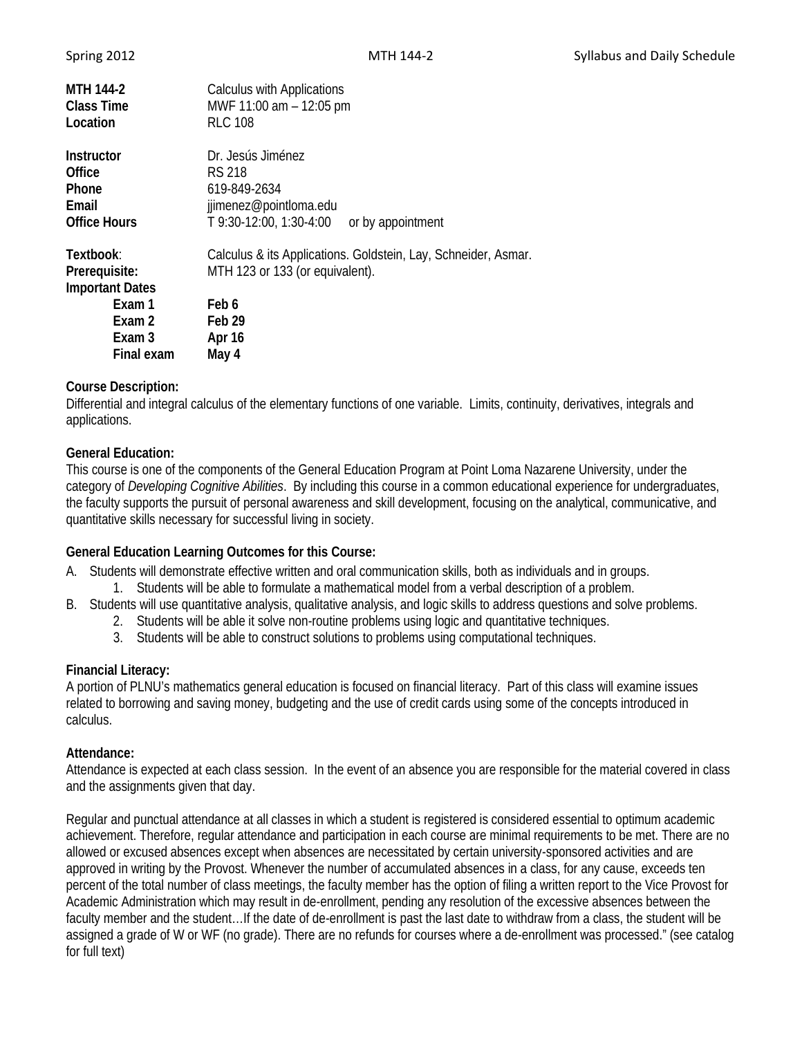| Spring 2012 |  |
|-------------|--|
|             |  |

| <b>MTH 144-2</b><br><b>Class Time</b><br>Location                                                | Calculus with Applications<br>MWF 11:00 am - 12:05 pm<br><b>RLC 108</b>                                                                 |
|--------------------------------------------------------------------------------------------------|-----------------------------------------------------------------------------------------------------------------------------------------|
| Instructor<br>Office<br><b>Phone</b><br>Email<br><b>Office Hours</b>                             | Dr. Jesús Jiménez<br><b>RS 218</b><br>619-849-2634<br>jjimenez@pointloma.edu<br>T 9:30-12:00, 1:30-4:00<br>or by appointment            |
| Textbook:<br>Prerequisite:<br><b>Important Dates</b><br>Exam 1<br>Exam 2<br>Exam 3<br>Final exam | Calculus & its Applications. Goldstein, Lay, Schneider, Asmar.<br>MTH 123 or 133 (or equivalent).<br>Feb 6<br>Feb 29<br>Apr 16<br>May 4 |

## **Course Description:**

Differential and integral calculus of the elementary functions of one variable. Limits, continuity, derivatives, integrals and applications.

## **General Education:**

This course is one of the components of the General Education Program at Point Loma Nazarene University, under the category of *Developing Cognitive Abilities*. By including this course in a common educational experience for undergraduates, the faculty supports the pursuit of personal awareness and skill development, focusing on the analytical, communicative, and quantitative skills necessary for successful living in society.

### **General Education Learning Outcomes for this Course:**

- A. Students will demonstrate effective written and oral communication skills, both as individuals and in groups.
	- 1. Students will be able to formulate a mathematical model from a verbal description of a problem.
- B. Students will use quantitative analysis, qualitative analysis, and logic skills to address questions and solve problems.
	- 2. Students will be able it solve non-routine problems using logic and quantitative techniques.
	- 3. Students will be able to construct solutions to problems using computational techniques.

### **Financial Literacy:**

A portion of PLNU's mathematics general education is focused on financial literacy. Part of this class will examine issues related to borrowing and saving money, budgeting and the use of credit cards using some of the concepts introduced in calculus.

### **Attendance:**

Attendance is expected at each class session. In the event of an absence you are responsible for the material covered in class and the assignments given that day.

Regular and punctual attendance at all classes in which a student is registered is considered essential to optimum academic achievement. Therefore, regular attendance and participation in each course are minimal requirements to be met. There are no allowed or excused absences except when absences are necessitated by certain university-sponsored activities and are approved in writing by the Provost. Whenever the number of accumulated absences in a class, for any cause, exceeds ten percent of the total number of class meetings, the faculty member has the option of filing a written report to the Vice Provost for Academic Administration which may result in de-enrollment, pending any resolution of the excessive absences between the faculty member and the student…If the date of de-enrollment is past the last date to withdraw from a class, the student will be assigned a grade of W or WF (no grade). There are no refunds for courses where a de-enrollment was processed." (see catalog for full text)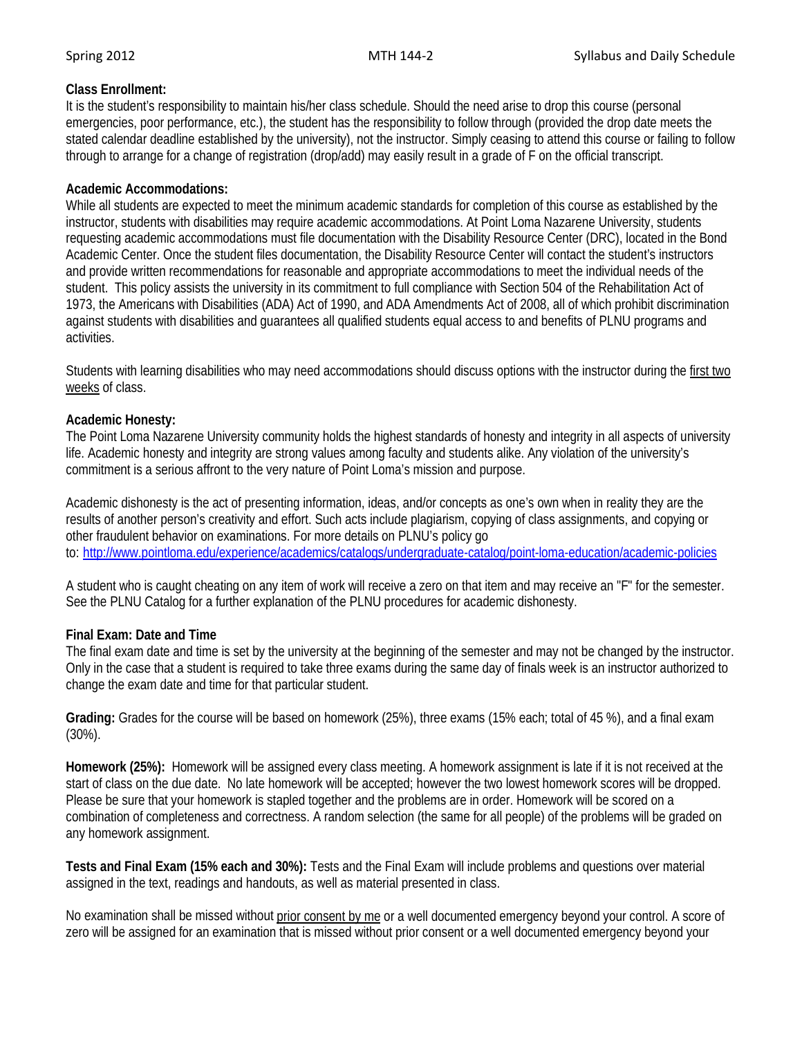# **Class Enrollment:**

It is the student's responsibility to maintain his/her class schedule. Should the need arise to drop this course (personal emergencies, poor performance, etc.), the student has the responsibility to follow through (provided the drop date meets the stated calendar deadline established by the university), not the instructor. Simply ceasing to attend this course or failing to follow through to arrange for a change of registration (drop/add) may easily result in a grade of F on the official transcript.

## **Academic Accommodations:**

While all students are expected to meet the minimum academic standards for completion of this course as established by the instructor, students with disabilities may require academic accommodations. At Point Loma Nazarene University, students requesting academic accommodations must file documentation with the Disability Resource Center (DRC), located in the Bond Academic Center. Once the student files documentation, the Disability Resource Center will contact the student's instructors and provide written recommendations for reasonable and appropriate accommodations to meet the individual needs of the student. This policy assists the university in its commitment to full compliance with Section 504 of the Rehabilitation Act of 1973, the Americans with Disabilities (ADA) Act of 1990, and ADA Amendments Act of 2008, all of which prohibit discrimination against students with disabilities and guarantees all qualified students equal access to and benefits of PLNU programs and activities.

Students with learning disabilities who may need accommodations should discuss options with the instructor during the first two weeks of class.

## **Academic Honesty:**

The Point Loma Nazarene University community holds the highest standards of honesty and integrity in all aspects of university life. Academic honesty and integrity are strong values among faculty and students alike. Any violation of the university's commitment is a serious affront to the very nature of Point Loma's mission and purpose.

Academic dishonesty is the act of presenting information, ideas, and/or concepts as one's own when in reality they are the results of another person's creativity and effort. Such acts include plagiarism, copying of class assignments, and copying or other fraudulent behavior on examinations. For more details on PLNU's policy go to: <http://www.pointloma.edu/experience/academics/catalogs/undergraduate-catalog/point-loma-education/academic-policies>

A student who is caught cheating on any item of work will receive a zero on that item and may receive an "F" for the semester. See the PLNU Catalog for a further explanation of the PLNU procedures for academic dishonesty.

# **Final Exam: Date and Time**

The final exam date and time is set by the university at the beginning of the semester and may not be changed by the instructor. Only in the case that a student is required to take three exams during the same day of finals week is an instructor authorized to change the exam date and time for that particular student.

**Grading:** Grades for the course will be based on homework (25%), three exams (15% each; total of 45 %), and a final exam (30%).

**Homework (25%):** Homework will be assigned every class meeting. A homework assignment is late if it is not received at the start of class on the due date. No late homework will be accepted; however the two lowest homework scores will be dropped. Please be sure that your homework is stapled together and the problems are in order. Homework will be scored on a combination of completeness and correctness. A random selection (the same for all people) of the problems will be graded on any homework assignment.

**Tests and Final Exam (15% each and 30%):** Tests and the Final Exam will include problems and questions over material assigned in the text, readings and handouts, as well as material presented in class.

No examination shall be missed without prior consent by me or a well documented emergency beyond your control. A score of zero will be assigned for an examination that is missed without prior consent or a well documented emergency beyond your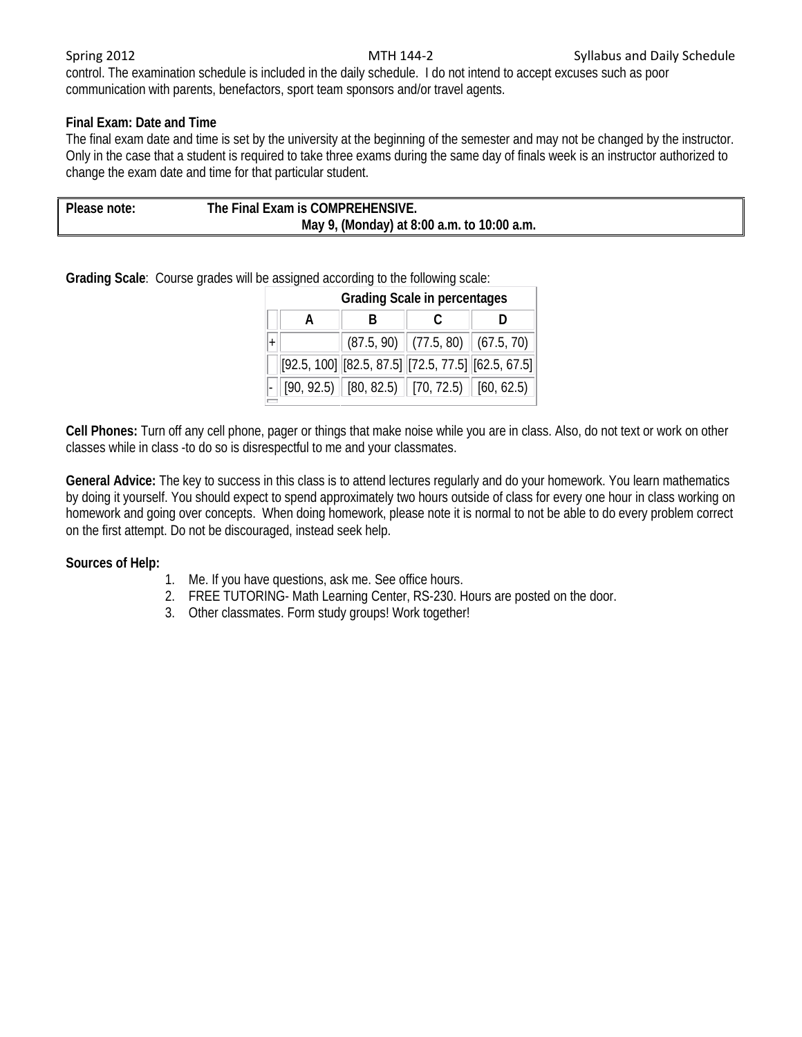control. The examination schedule is included in the daily schedule. I do not intend to accept excuses such as poor communication with parents, benefactors, sport team sponsors and/or travel agents.

# **Final Exam: Date and Time**

The final exam date and time is set by the university at the beginning of the semester and may not be changed by the instructor. Only in the case that a student is required to take three exams during the same day of finals week is an instructor authorized to change the exam date and time for that particular student.

| Please note: | The Final Exam is COMPREHENSIVE.           |  |  |
|--------------|--------------------------------------------|--|--|
|              | May 9, (Monday) at 8:00 a.m. to 10:00 a.m. |  |  |

**Grading Scale**: Course grades will be assigned according to the following scale:

| <b>Grading Scale in percentages</b> |                                                                                     |                                        |  |  |  |  |  |
|-------------------------------------|-------------------------------------------------------------------------------------|----------------------------------------|--|--|--|--|--|
| A                                   |                                                                                     |                                        |  |  |  |  |  |
|                                     |                                                                                     | $(87.5, 90)$ $(77.5, 80)$ $(67.5, 70)$ |  |  |  |  |  |
|                                     | $[92.5, 100]$ $[82.5, 87.5]$ $[72.5, 77.5]$ $[62.5, 67.5]$                          |                                        |  |  |  |  |  |
|                                     | $\vert$ [90, 92.5) $\vert$ [80, 82.5) $\vert$ [70, 72.5) $\vert$ [60, 62.5) $\vert$ |                                        |  |  |  |  |  |

**Cell Phones:** Turn off any cell phone, pager or things that make noise while you are in class. Also, do not text or work on other classes while in class -to do so is disrespectful to me and your classmates.

**General Advice:** The key to success in this class is to attend lectures regularly and do your homework. You learn mathematics by doing it yourself. You should expect to spend approximately two hours outside of class for every one hour in class working on homework and going over concepts. When doing homework, please note it is normal to not be able to do every problem correct on the first attempt. Do not be discouraged, instead seek help.

# **Sources of Help:**

- 1. Me. If you have questions, ask me. See office hours.
- 2. FREE TUTORING- Math Learning Center, RS-230. Hours are posted on the door.
- 3. Other classmates. Form study groups! Work together!